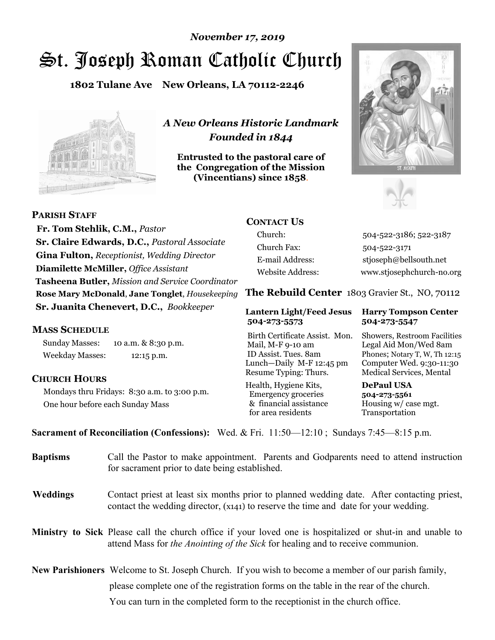# St. Joseph Roman Catholic Church *November 17, 2019*

**1802 Tulane Ave New Orleans, LA 70112-2246**



*A New Orleans Historic Landmark Founded in 1844* 

**Entrusted to the pastoral care of the Congregation of the Mission (Vincentians) since 1858**.





 **Fr. Tom Stehlik, C.M.,** *Pastor* **Sr. Claire Edwards, D.C.,** *Pastoral Associate* **Gina Fulton,** *Receptionist, Wedding Director* **Diamilette McMiller,** *Office Assistant* **Tasheena Butler,** *Mission and Service Coordinator* **Rose Mary McDonald**, **Jane Tonglet**, *Housekeeping* **Sr. Juanita Chenevert, D.C.,** *Bookkeeper* 

#### **MASS SCHEDULE**

**PARISH STAFF**

Sunday Masses: 10 a.m. & 8:30 p.m. Weekday Masses: 12:15 p.m.

#### **CHURCH HOURS**

Mondays thru Fridays: 8:30 a.m. to 3:00 p.m. One hour before each Sunday Mass

# **CONTACT US**

Church: 504-522-3186; 522-3187 Church Fax: 504-522-3171 E-mail Address: stjoseph@bellsouth.net Website Address: www.stjosephchurch-no.org

**The Rebuild Center** 1803 Gravier St., NO, 70112

#### **Lantern Light/Feed Jesus Harry Tompson Center 504-273-5573 504-273-5547**

Birth Certificate Assist. Mon. Showers, Restroom Facilities Mail, M-F 9-10 am Legal Aid Mon/Wed 8am ID Assist. Tues. 8am Phones; Notary T, W, Th 12:15 Lunch—Daily M-F 12:45 pm Computer Wed. 9:30-11:30 Resume Typing: Thurs. Medical Services, Mental

Health, Hygiene Kits, **DePaul USA**  Emergency groceries **504-273-5561** & financial assistance Housing w/ case mgt. for area residents Transportation

**Sacrament of Reconciliation (Confessions):** Wed. & Fri. 11:50—12:10 ; Sundays 7:45—8:15 p.m.

| <b>Baptisms</b> | Call the Pastor to make appointment. Parents and Godparents need to attend instruction<br>for sacrament prior to date being established.                                                            |  |
|-----------------|-----------------------------------------------------------------------------------------------------------------------------------------------------------------------------------------------------|--|
| <b>Weddings</b> | Contact priest at least six months prior to planned wedding date. After contacting priest,<br>contact the wedding director, (x141) to reserve the time and date for your wedding.                   |  |
|                 | <b>Ministry to Sick</b> Please call the church office if your loved one is hospitalized or shut-in and unable to<br>attend Mass for the Anointing of the Sick for healing and to receive communion. |  |
|                 | <b>New Parishioners</b> Welcome to St. Joseph Church. If you wish to become a member of our parish family,                                                                                          |  |
|                 | please complete one of the registration forms on the table in the rear of the church.                                                                                                               |  |
|                 | You can turn in the completed form to the receptionist in the church office.                                                                                                                        |  |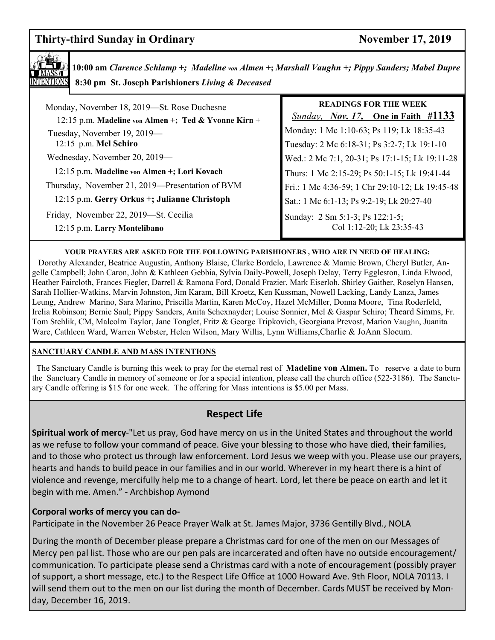# **Thirty-third Sunday in Ordinary Server According to According the Sunday in Ordinary November 17, 2019**



**10:00 am** *Clarence Schlamp +; Madeline von Almen* **+;** *Marshall Vaughn +; Pippy Sanders; Mabel Dupre*  **8:30 pm St. Joseph Parishioners** *Living & Deceased* 

| Monday, November 18, 2019-St. Rose Duchesne<br>12:15 p.m. Madeline von Almen +; Ted & Yvonne Kirn + | <b>READINGS FOR THE WEEK</b><br><i>Sunday, Nov. 17,</i> One in Faith $\#1133$            |
|-----------------------------------------------------------------------------------------------------|------------------------------------------------------------------------------------------|
| Tuesday, November 19, 2019—<br>12:15 p.m. Mel Schiro                                                | Monday: 1 Mc 1:10-63; Ps 119; Lk 18:35-43<br>Tuesday: 2 Mc 6:18-31; Ps 3:2-7; Lk 19:1-10 |
| Wednesday, November 20, 2019-                                                                       | Wed.: 2 Mc 7:1, 20-31; Ps 17:1-15; Lk 19:11-28                                           |
| 12:15 p.m. Madeline von Almen +; Lori Kovach                                                        | Thurs: 1 Mc 2:15-29; Ps 50:1-15; Lk 19:41-44                                             |
| Thursday, November 21, 2019—Presentation of BVM                                                     | Fri.: 1 Mc 4:36-59; 1 Chr 29:10-12; Lk 19:45-48                                          |
| 12:15 p.m. Gerry Orkus +; Julianne Christoph                                                        | Sat.: 1 Mc 6:1-13; Ps 9:2-19; Lk 20:27-40                                                |
| Friday, November 22, 2019—St. Cecilia<br>12:15 p.m. Larry Montelibano                               | Sunday: 2 Sm 5:1-3; Ps 122:1-5;<br>Col 1:12-20; Lk 23:35-43                              |

#### **YOUR PRAYERS ARE ASKED FOR THE FOLLOWING PARISHIONERS , WHO ARE IN NEED OF HEALING:**

 Dorothy Alexander, Beatrice Augustin, Anthony Blaise, Clarke Bordelo, Lawrence & Mamie Brown, Cheryl Butler, Angelle Campbell; John Caron, John & Kathleen Gebbia, Sylvia Daily-Powell, Joseph Delay, Terry Eggleston, Linda Elwood, Heather Faircloth, Frances Fiegler, Darrell & Ramona Ford, Donald Frazier, Mark Eiserloh, Shirley Gaither, Roselyn Hansen, Sarah Hollier-Watkins, Marvin Johnston, Jim Karam, Bill Kroetz, Ken Kussman, Nowell Lacking, Landy Lanza, James Leung, Andrew Marino, Sara Marino, Priscilla Martin, Karen McCoy, Hazel McMiller, Donna Moore, Tina Roderfeld, Irelia Robinson; Bernie Saul; Pippy Sanders, Anita Schexnayder; Louise Sonnier, Mel & Gaspar Schiro; Theard Simms, Fr. Tom Stehlik, CM, Malcolm Taylor, Jane Tonglet, Fritz & George Tripkovich, Georgiana Prevost, Marion Vaughn, Juanita Ware, Cathleen Ward, Warren Webster, Helen Wilson, Mary Willis, Lynn Williams,Charlie & JoAnn Slocum.

#### **SANCTUARY CANDLE AND MASS INTENTIONS**

 The Sanctuary Candle is burning this week to pray for the eternal rest of **Madeline von Almen.** To reserve a date to burn the Sanctuary Candle in memory of someone or for a special intention, please call the church office (522-3186). The Sanctuary Candle offering is \$15 for one week. The offering for Mass intentions is \$5.00 per Mass.

# **Respect Life**

**Spiritual work of mercy**-"Let us pray, God have mercy on us in the United States and throughout the world as we refuse to follow your command of peace. Give your blessing to those who have died, their families, and to those who protect us through law enforcement. Lord Jesus we weep with you. Please use our prayers, hearts and hands to build peace in our families and in our world. Wherever in my heart there is a hint of violence and revenge, mercifully help me to a change of heart. Lord, let there be peace on earth and let it begin with me. Amen." - Archbishop Aymond

#### **Corporal works of mercy you can do-**

Participate in the November 26 Peace Prayer Walk at St. James Major, 3736 Gentilly Blvd., NOLA

During the month of December please prepare a Christmas card for one of the men on our Messages of Mercy pen pal list. Those who are our pen pals are incarcerated and often have no outside encouragement/ communication. To participate please send a Christmas card with a note of encouragement (possibly prayer of support, a short message, etc.) to the Respect Life Office at 1000 Howard Ave. 9th Floor, NOLA 70113. I will send them out to the men on our list during the month of December. Cards MUST be received by Monday, December 16, 2019.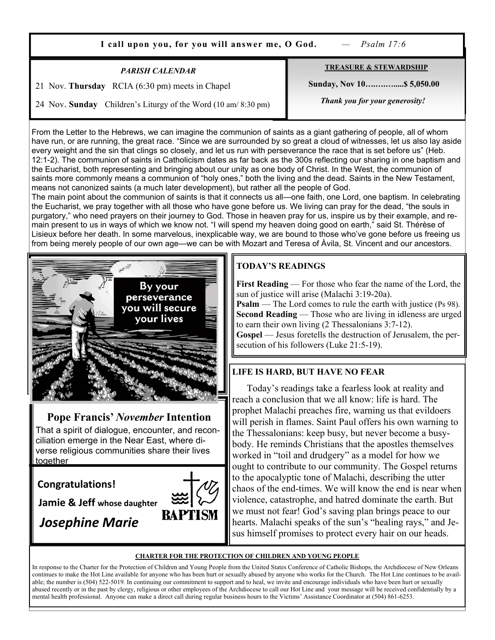**I call upon you, for you will answer me, O God.** *— Psalm 17:6*

#### *PARISH CALENDAR*

21 Nov. **Thursday** RCIA (6:30 pm) meets in Chapel

**TREASURE & STEWARDSHIP Sunday, Nov 10….….….....\$ 5,050.00** 

 *Thank you for your generosity!* 

24 Nov. **Sunday** Children's Liturgy of the Word (10 am/ 8:30 pm)

From the Letter to the Hebrews, we can imagine the communion of saints as a giant gathering of people, all of whom have run, or are running, the great race. "Since we are surrounded by so great a cloud of witnesses, let us also lay aside every weight and the sin that clings so closely, and let us run with perseverance the race that is set before us" (Heb. 12:1-2). The communion of saints in Catholicism dates as far back as the 300s reflecting our sharing in one baptism and the Eucharist, both representing and bringing about our unity as one body of Christ. In the West, the communion of saints more commonly means a communion of "holy ones," both the living and the dead. Saints in the New Testament, means not canonized saints (a much later development), but rather all the people of God.

The main point about the communion of saints is that it connects us all—one faith, one Lord, one baptism. In celebrating the Eucharist, we pray together with all those who have gone before us. We living can pray for the dead, "the souls in purgatory," who need prayers on their journey to God. Those in heaven pray for us, inspire us by their example, and remain present to us in ways of which we know not. "I will spend my heaven doing good on earth," said St. Thérèse of Lisieux before her death. In some marvelous, inexplicable way, we are bound to those who've gone before us freeing us from being merely people of our own age—we can be with Mozart and Teresa of Àvila, St. Vincent and our ancestors.



# **Pope Francis'** *November* **Intention**

That a spirit of dialogue, encounter, and reconciliation emerge in the Near East, where diverse religious communities share their lives together

# **Congratulations!**

**Jamie & Jeff whose daughter**

*Josephine Marie* 



# **TODAY'S READINGS**

**First Reading** — For those who fear the name of the Lord, the sun of justice will arise (Malachi 3:19-20a).

**Psalm** — The Lord comes to rule the earth with justice (Ps 98). **Second Reading** — Those who are living in idleness are urged to earn their own living (2 Thessalonians 3:7-12).

**Gospel** — Jesus foretells the destruction of Jerusalem, the persecution of his followers (Luke 21:5-19).

# **LIFE IS HARD, BUT HAVE NO FEAR**

 Today's readings take a fearless look at reality and reach a conclusion that we all know: life is hard. The prophet Malachi preaches fire, warning us that evildoers will perish in flames. Saint Paul offers his own warning to the Thessalonians: keep busy, but never become a busybody. He reminds Christians that the apostles themselves worked in "toil and drudgery" as a model for how we ought to contribute to our community. The Gospel returns to the apocalyptic tone of Malachi, describing the utter chaos of the end-times. We will know the end is near when violence, catastrophe, and hatred dominate the earth. But we must not fear! God's saving plan brings peace to our hearts. Malachi speaks of the sun's "healing rays," and Jesus himself promises to protect every hair on our heads.

#### **CHARTER FOR THE PROTECTION OF CHILDREN AND YOUNG PEOPLE**

In response to the Charter for the Protection of Children and Young People from the United States Conference of Catholic Bishops, the Archdiocese of New Orleans continues to make the Hot Line available for anyone who has been hurt or sexually abused by anyone who works for the Church. The Hot Line continues to be available; the number is (504) 522-5019. In continuing our commitment to support and to heal, we invite and encourage individuals who have been hurt or sexually abused recently or in the past by clergy, religious or other employees of the Archdiocese to call our Hot Line and your message will be received confidentially by a mental health professional. Anyone can make a direct call during regular business hours to the Victims' Assistance Coordinator at (504) 861-6253.